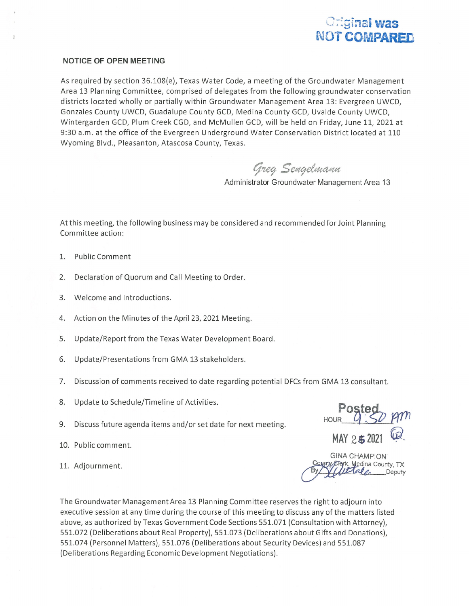

## NOTICE OF OPEN MEETING

As required by section 36.108(e), Texas Water Code, <sup>a</sup> meeting of the Groundwater Management Area 13 Planning Committee, comprised of delegates from the following groundwater conservation districts located wholly or partially within Groundwater Management Area 13: Evergreen UWCD, Gonzales County UWCD, Guadalupe County GCD, Medina County GCD, Uvalde County UWCD, Wintergarden GCD, Plum Creek CGD, and McMullen GCD, will be held on Friday, June 11, 2021 at 9:30 a.m. at the office of the Evergreen Underground Water Conservation District located at 110 Wyoming Blvd., Pleasanton, Atascosa County, Texas.

Greg Sengelmann

Administrator Groundwater Management Area 13

At this meeting, the following business may be considered and recommended for Joint Planning Committee action:

- 1. Public Comment
- 2. Declaration of Quorum and Call Meeting to Order.
- 3. Welcome and Introductions.
- 4. Action on the Minutes of the April 23, 2021 Meeting.
- 5. Update/Report from the Texas Water Development Board.
- 6. Update/Presentations from GMA 13 stakeholders.
- 7. Discussion of comments received to date regarding potential DFCs from GMA 13 consultant.
- 8. Update to Schedule/Timeline of Activities.
- 9. Discuss future agenda items and/or set date for next meeting.
- 
- 

HOUR POSTE 10. Public comment. 25 a 2021 The Update to Schedule/Timeline of Activities.<br>
11. Adjournment.<br>
11. Adjournment.<br>
12. Adjournment.<br>
20. Discuss future agenda items and/or set date for next meeting.<br>
12. Adjournment.<br>
13. Adjournment.<br>
13. Adjournment.

GINA CHAMPION **Deputy** 

The Groundwater Management Area 13 Planning Committee reserves the right to adjourn into executive session at any time during the course of this meeting to discuss any of the matters listed above, as authorized by Texas Government Code Sections 551.071 (Consultation with Attorney), 551.072 (Deliberations about Real Property), 551.073 (Deliberations about Gifts and Donations), 551.074 (Personnel Matters), 551.076 (Deliberations about Security Devices) and 551.087 (Deliberations Regarding Economic Development Negotiations).